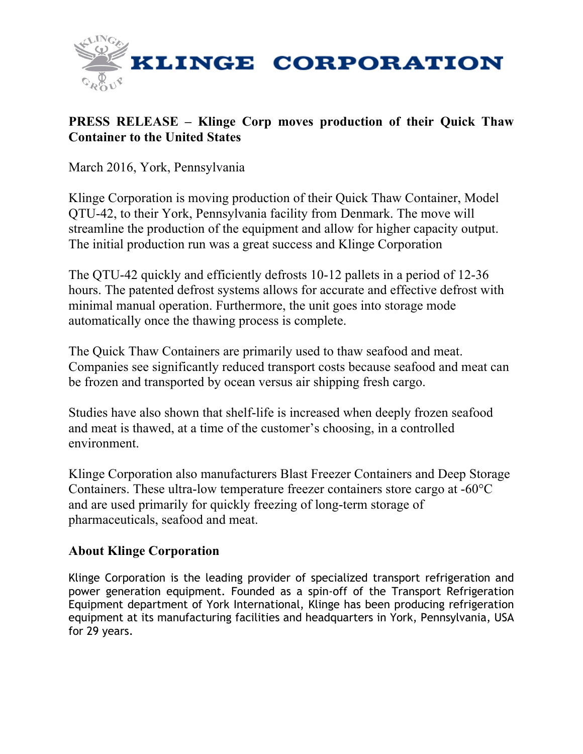

## **PRESS RELEASE – Klinge Corp moves production of their Quick Thaw Container to the United States**

March 2016, York, Pennsylvania

Klinge Corporation is moving production of their Quick Thaw Container, Model QTU-42, to their York, Pennsylvania facility from Denmark. The move will streamline the production of the equipment and allow for higher capacity output. The initial production run was a great success and Klinge Corporation

The QTU-42 quickly and efficiently defrosts 10-12 pallets in a period of 12-36 hours. The patented defrost systems allows for accurate and effective defrost with minimal manual operation. Furthermore, the unit goes into storage mode automatically once the thawing process is complete.

The Quick Thaw Containers are primarily used to thaw seafood and meat. Companies see significantly reduced transport costs because seafood and meat can be frozen and transported by ocean versus air shipping fresh cargo.

Studies have also shown that shelf-life is increased when deeply frozen seafood and meat is thawed, at a time of the customer's choosing, in a controlled environment.

Klinge Corporation also manufacturers Blast Freezer Containers and Deep Storage Containers. These ultra-low temperature freezer containers store cargo at -60°C and are used primarily for quickly freezing of long-term storage of pharmaceuticals, seafood and meat.

## **About Klinge Corporation**

Klinge Corporation is the leading provider of specialized transport refrigeration and power generation equipment. Founded as a spin-off of the Transport Refrigeration Equipment department of York International, Klinge has been producing refrigeration equipment at its manufacturing facilities and headquarters in York, Pennsylvania, USA for 29 years.